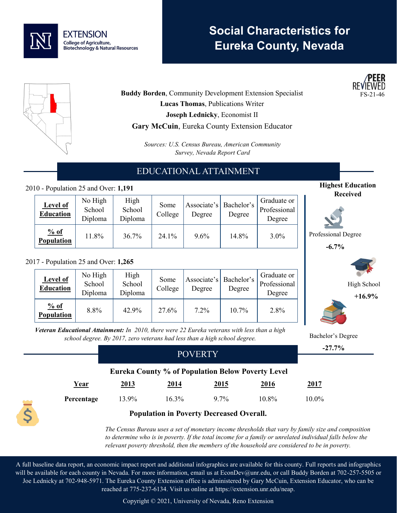

# **Social Characteristics for Eureka County, Nevada**



**Buddy Borden, Community Development Extension Specialist Lucas Thomas**, Publications Writer **Joseph Lednicky**, Economist II **Gary McCuin**, Eureka County Extension Educator

> *Sources: U.S. Census Bureau, American Community Survey, Nevada Report Card*

## EDUCATIONAL ATTAINMENT

### 2010 - Population 25 and Over: **1,191**

| <b>Level of</b><br><b>Education</b> | No High<br>School<br>Diploma | High<br>School<br>Diploma | Some<br>College | Associate's   Bachelor's<br>Degree | Degree | Graduate or<br>Professional<br>Degree |
|-------------------------------------|------------------------------|---------------------------|-----------------|------------------------------------|--------|---------------------------------------|
| % of<br><b>Population</b>           | 11.8%                        | 36.7%                     | 24.1%           | $9.6\%$                            | 14.8%  | $3.0\%$                               |

#### 2017 - Population 25 and Over: **1,265**

| <b>Level of</b><br><b>Education</b> | No High<br>School<br>Diploma | High<br>School<br>Diploma | Some<br>College | Degree | Associate's   Bachelor's<br>Degree | Graduate or<br>Professional<br>Degree |
|-------------------------------------|------------------------------|---------------------------|-----------------|--------|------------------------------------|---------------------------------------|
| % of<br><b>Population</b>           | 8.8%                         | 42.9%                     | 27.6%           | 7.2%   | 10.7%                              | 2.8%                                  |

*Veteran Educational Attainment: In 2010, there were 22 Eureka veterans with less than a high school degree. By 2017, zero veterans had less than a high school degree.*

|            | <b>POVERTY</b>                                           |             |             |             |             | $-27.7%$ |  |
|------------|----------------------------------------------------------|-------------|-------------|-------------|-------------|----------|--|
|            |                                                          |             |             |             |             |          |  |
|            | <b>Eureka County % of Population Below Poverty Level</b> |             |             |             |             |          |  |
| Year       | 2013                                                     | <u>2014</u> | <u>2015</u> | <u>2016</u> | <u>2017</u> |          |  |
| Percentage | 13.9%                                                    | 16.3%       | $9.7\%$     | 10.8%       | 10.0%       |          |  |
|            |                                                          |             |             |             |             |          |  |

### **Population in Poverty Decreased Overall.**

*The Census Bureau uses a set of monetary income thresholds that vary by family size and composition to determine who is in poverty. If the total income for a family or unrelated individual falls below the relevant poverty threshold, then the members of the household are considered to be in poverty.* 

A full baseline data report, an economic impact report and additional infographics are available for this county. Full reports and infographics will be available for each county in Nevada. For more information, email us at EconDev@unr.edu, or call Buddy Borden at 702-257-5505 or Joe Lednicky at 702-948-5971. The Eureka County Extension office is administered by Gary McCuin, Extension Educator, who can be reached at 775-237-6134. Visit us online at https://extension.unr.edu/neap.

Copyright © 2021, University of Nevada, Reno Extension





Professional Degree

**-6.7%**

Bachelor's Degree